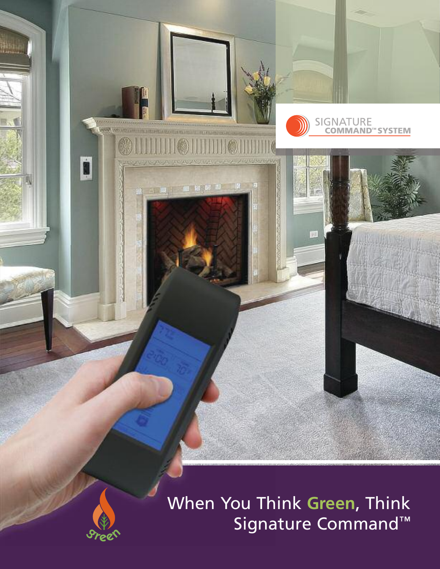

窗





WWW. WORDSHIPSIDE SOURCE AND THE INTERNATIONAL

 $-1$   $20$ 

Ò

**TITHE** 

画 新 环 四 一 3 - 3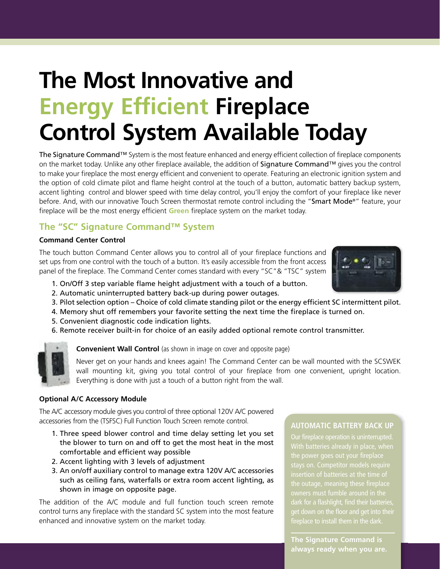# **The Most Innovative and Energy Efficient Fireplace Control System Available Today**

The Signature Command™ System is the most feature enhanced and energy efficient collection of fireplace components on the market today. Unlike any other fireplace available, the addition of Signature Command™ gives you the control to make your fireplace the most energy efficient and convenient to operate. Featuring an electronic ignition system and the option of cold climate pilot and flame height control at the touch of a button, automatic battery backup system, accent lighting control and blower speed with time delay control, you'll enjoy the comfort of your fireplace like never before. And, with our innovative Touch Screen thermostat remote control including the "Smart Mode®" feature, your fireplace will be the most energy efficient **Green** fireplace system on the market today.

# **The "SC" Signature Command™ System**

#### **Command Center Control**

The touch button Command Center allows you to control all of your fireplace functions and set ups from one control with the touch of a button. It's easily accessible from the front access panel of the fireplace. The Command Center comes standard with every "SC"& "TSC" system

- 1. On/Off 3 step variable flame height adjustment with a touch of a button.
- 2. Automatic uninterrupted battery back-up during power outages.
- 3. Pilot selection option Choice of cold climate standing pilot or the energy efficient SC intermittent pilot.
- 4. Memory shut off remembers your favorite setting the next time the fireplace is turned on.
- 5. Convenient diagnostic code indication lights.
- 6. Remote receiver built-in for choice of an easily added optional remote control transmitter.



#### **Convenient Wall Control** (as shown in image on cover and opposite page)

Never get on your hands and knees again! The Command Center can be wall mounted with the SCSWEK wall mounting kit, giving you total control of your fireplace from one convenient, upright location. Everything is done with just a touch of a button right from the wall.

#### **Optional A/C Accessory Module**

The A/C accessory module gives you control of three optional 120V A/C powered accessories from the (TSFSC) Full Function Touch Screen remote control.

- 1. Three speed blower control and time delay setting let you set the blower to turn on and off to get the most heat in the most comfortable and efficient way possible
- 2. Accent lighting with 3 levels of adjustment
- 3. An on/off auxiliary control to manage extra 120V A/C accessories such as ceiling fans, waterfalls or extra room accent lighting, as shown in image on opposite page.

The addition of the A/C module and full function touch screen remote control turns any fireplace with the standard SC system into the most feature enhanced and innovative system on the market today.

#### **AUTOMATIC BATTERY BACK UP**

Our fireplace operation is uninterrupted. stays on. Competitor models require the outage, meaning these fireplace dark for a flashlight, find their batteries, get down on the floor and get into their fireplace to install them in the dark.

**The Signature Command is always ready when you are.**

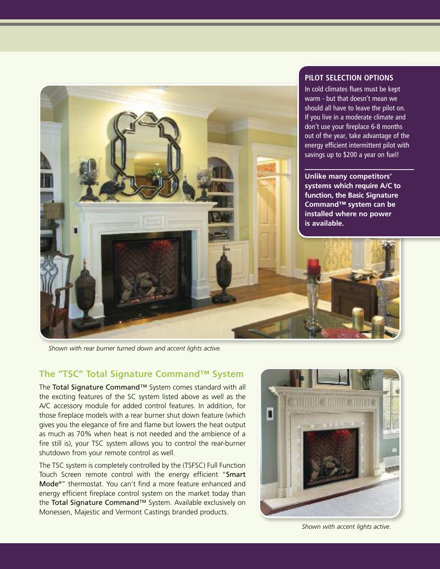

#### **PILOT SELECTION OPTIONS**

In cold climates flues must be kept warm - but that doesn't mean we should all have to leave the pilot on. If you live in a moderate climate and don't use your fireplace 6-8 months out of the year, take advantage of the energy efficient intermittent pilot with savings up to \$200 a year on fuel!

**Unlike many competitors' systems which require A/C to function, the Basic Signature Command™ system can be installed where no power is available.**

*Shown with rear burner turned down and accent lights active.*

## **The "TSC" Total Signature Command™ System**

The Total Signature Command™ System comes standard with all the exciting features of the SC system listed above as well as the A/C accessory module for added control features. In addition, for those fireplace models with a rear burner shut down feature (which gives you the elegance of fire and flame but lowers the heat output as much as 70% when heat is not needed and the ambience of a fire still is), your TSC system allows you to control the rear-burner shutdown from your remote control as well.

The TSC system is completely controlled by the (TSFSC) Full Function Touch Screen remote control with the energy efficient "Smart Mode®" thermostat. You can't find a more feature enhanced and energy efficient fireplace control system on the market today than the Total Signature Command™ System. Available exclusively on Monessen, Majestic and Vermont Castings branded products.



*Shown with accent lights active.*